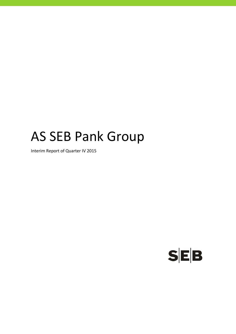# AS SEB Pank Group

Interim Report of Quarter IV 2015

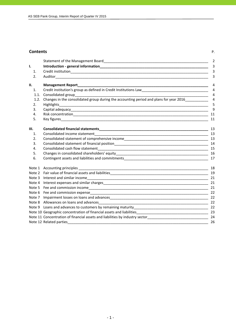## **Contents** P.

|            | Statement of the Management Board Management Control of the Control of the Management of the Management Board                                                                                                                        | $\overline{2}$      |
|------------|--------------------------------------------------------------------------------------------------------------------------------------------------------------------------------------------------------------------------------------|---------------------|
| ı.         |                                                                                                                                                                                                                                      | 3                   |
| 1.         |                                                                                                                                                                                                                                      | 3                   |
| 2.         |                                                                                                                                                                                                                                      | 3                   |
| П.         | <b>Management Report</b>                                                                                                                                                                                                             | 4                   |
| 1.         | Credit institution's group as defined in Credit Institutions Law___________________________________                                                                                                                                  | $\overline{a}$      |
| 1.1.       | Consolidated group<br><u> 1980 - Jan Barbara Barbara, maso a se</u>                                                                                                                                                                  | $\overline{4}$      |
| 1.2.<br>2. | Changes in the consolidated group during the accounting period and plans for year 2016____________<br>Highlights<br>and the control of the control of the control of the control of the control of the control of the control of the | $\overline{4}$<br>5 |
| 3.         |                                                                                                                                                                                                                                      | 9                   |
| 4.         |                                                                                                                                                                                                                                      |                     |
| 5.         |                                                                                                                                                                                                                                      | 11                  |
| III.       |                                                                                                                                                                                                                                      | 13                  |
| 1.         | Consolidated income statement<br><u> 1989 - Johann Stoff, deutscher Stoff, der Stoff, der Stoff, der Stoff, der Stoff, der Stoff, der Stoff, der S</u>                                                                               | 13                  |
| 2.         | Consolidated statement of comprehensive income entering the control of the consolidated statement of comprehensive income                                                                                                            |                     |
| 3.         |                                                                                                                                                                                                                                      |                     |
| 4.         |                                                                                                                                                                                                                                      | 15                  |
| 5.         |                                                                                                                                                                                                                                      |                     |
| 6.         |                                                                                                                                                                                                                                      | 17                  |
|            |                                                                                                                                                                                                                                      | 18                  |
|            |                                                                                                                                                                                                                                      |                     |
|            |                                                                                                                                                                                                                                      |                     |
|            |                                                                                                                                                                                                                                      | 21                  |
|            |                                                                                                                                                                                                                                      | 21                  |
|            |                                                                                                                                                                                                                                      |                     |
| Note 7     |                                                                                                                                                                                                                                      |                     |
|            | Note 8 Allowances on loans and advances<br>$\overline{\phantom{a}}$ 22                                                                                                                                                               |                     |
|            |                                                                                                                                                                                                                                      |                     |
|            |                                                                                                                                                                                                                                      |                     |
|            | Note 11 Concentration of financial assets and liabilities by industry sector<br>24                                                                                                                                                   |                     |
|            | Note 12 Related parties and the state of the state of the state of the state of the state of the state of the state of the state of the state of the state of the state of the state of the state of the state of the state of       | 26                  |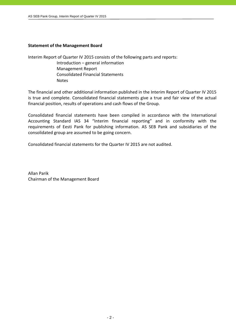# **Statement of the Management Board**

Interim Report of Quarter IV 2015 consists of the following parts and reports:

 Introduction – general information Management Report Consolidated Financial Statements Notes

The financial and other additional information published in the Interim Report of Quarter IV 2015 is true and complete. Consolidated financial statements give a true and fair view of the actual financial position, results of operations and cash flows of the Group.

Consolidated financial statements have been compiled in accordance with the International Accounting Standard IAS 34 "Interim financial reporting" and in conformity with the requirements of Eesti Pank for publishing information. AS SEB Pank and subsidiaries of the consolidated group are assumed to be going concern.

Consolidated financial statements for the Quarter IV 2015 are not audited.

Allan Parik Chairman of the Management Board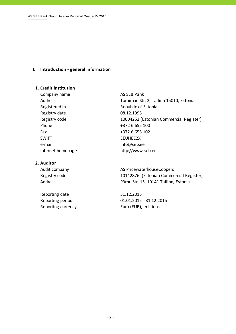## **I. Introduction ‐ general information**

## **1. Credit institution**

Company name AS SEB Pank Registry date 08.12.1995 Phone  $+3726655100$ Fax  $+3726655102$ SWIFT FEUHFF2X e-mail info@seb.ee

# **2. Auditor**

Reporting date 31.12.2015

Address Tornimäe Str. 2, Tallinn 15010, Estonia Registered in Republic of Estonia Registry code 10004252 (Estonian Commercial Register) Internet homepage http://www.seb.ee

Audit company and all the AS PricewaterhouseCoopers Registry code 10142876 (Estonian Commercial Register) Address **Pärnu Str. 15, 10141 Tallinn, Estonia** 

Reporting period 01.01.2015 - 31.12.2015 Reporting currency Euro (EUR), millions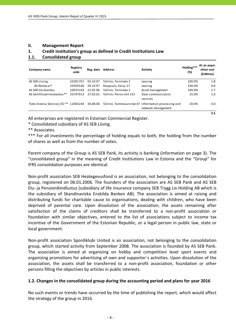# **II. Management Report**

# **1. Credit institution's group as defined in Credit Institutions Law**

## **1.1. Consolidated group**

| Company name                          | Registry<br>code | Reg. date | Address                | Activity                                                                   | Holding***<br>(%) | At an acqui-<br>sition cost<br>(EURmio) |
|---------------------------------------|------------------|-----------|------------------------|----------------------------------------------------------------------------|-------------------|-----------------------------------------|
| AS SEB Liising                        | 10281767         | 03.10.97  | Tallinn, Tornimäe 2    | Leasing                                                                    | 100.0%            | 1.8                                     |
| AS Rentacar*                          | 10303546         | 20.10.97  | Haapsalu, Karja 27     | Leasing                                                                    | 100.0%            | 0.0                                     |
| AS SEB Varahaldus                     | 10035169         | 22.05.96  | Tallinn. Tornimäe 2    | Asset management                                                           | 100.0%            | 2.7                                     |
| AS Sertifits eerimiskeskus**          | 10747013         | 27.03.01  | Tallinn, Pärnu mnt 141 | Data communication<br>services                                             | 25.0%             | 1.0                                     |
| Tieto Estonia Services OÜ ** 11065244 |                  | 30.08.04  |                        | Tallinn, Tammsaare tee 47 Information processing and<br>network management | 20.0%             | 0.0                                     |
|                                       |                  |           |                        |                                                                            |                   | 5.5                                     |

All enterprises are registered in Estonian Commercial Register.

\* Consolidated subsidiary of AS SEB Liising.

\*\* Associates.

\*\*\* For all investments the percentage of holding equals to both, the holding from the number of shares as well as from the number of votes.

Parent company of the Group is AS SEB Pank, its activity is banking (information on page 3). The "consolidated group" in the meaning of Credit Institutions Law in Estonia and the "Group" for IFRS consolidation purposes are identical.

Non‐profit association SEB Heategevusfond is an association, not belonging to the consolidation group, registered on 06.01.2006. The founders of the association are AS SEB Pank and AS SEB Elu‐ ja Pensionikindlustus (subsidiary of life insurance company SEB Trygg Liv Holding AB which is the subsidiary of Skandinaviska Enskilda Banken AB). The association is aimed at raising and distributing funds for charitable cause to organisations, dealing with children, who have been deprived of parental care. Upon dissolution of the association, the assets remaining after satisfaction of the claims of creditors shall be transferred to a non‐profit association or foundation with similar objectives, entered to the list of associations subject to income tax incentive of the Government of the Estonian Republic, or a legal person in public law, state or local government.

Non‐profit association Spordiklubi United is an association, not belonging to the consolidation group, which started activity from September 2008. The association is founded by AS SEB Pank. The association is aimed at organizing on hobby and competition level sport events and organizing promotions for advertising of own and supporter´s activities. Upon dissolution of the association, the assets shall be transferred to a non‐profit association, foundation or other persons filling the objectives by articles in public interests.

# **1.2. Changes in the consolidated group during the accounting period and plans for year 2016**

No such events or trends have occurred by the time of publishing the report, which would affect the strategy of the group in 2016.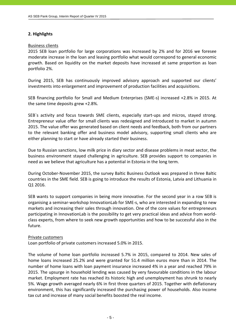# **2. Highlights**

# Business clients

2015 SEB loan portfolio for large corporations was increased by 2% and for 2016 we foresee moderate increase in the loan and leasing portfolio what would correspond to general economic growth. Based on liquidity on the market deposits have increased at same proportion as loan portfolio 2%.

During 2015, SEB has continuously improved advisory approach and supported our clients' investments into enlargement and improvement of production facilities and acquisitions.

SEB financing portfolio for Small and Medium Enterprises (SME‐s) increased +2.8% in 2015. At the same time deposits grew +2.8%.

SEB's activity and focus towards SME clients, especially start-ups and micros, stayed strong. Entrepreneur value offer for small clients was redesigned and introduced to market in autumn 2015. The value offer was generated based on client needs and feedback, both from our partners to the relevant banking offer and business model advisory, supporting small clients who are either planning to start or have already started their business.

Due to Russian sanctions, low milk price in diary sector and disease problems in meat sector, the business environment stayed challenging in agriculture. SEB provides support to companies in need as we believe that agriculture has a potential in Estonia in the long term.

During October‐November 2015, the survey Baltic Business Outlook was prepared in three Baltic countries in the SME field. SEB is going to introduce the results of Estonia, Latvia and Lithuania in Q1 2016.

SEB wants to support companies in being more innovative. For the second year in a row SEB is organising a seminar‐workshop InnovationLab for SME‐s, who are interested in expanding to new markets and increasing their sales through innovation. One of the core values for entrepreneurs participating in InnovationLab is the possibility to get very practical ideas and advice from world‐ class experts, from where to seek new growth opportunities and how to be successful also in the future.

# Private customers

Loan portfolio of private customers increased 5.0% in 2015.

The volume of home loan portfolio increased 5.7% in 2015, compared to 2014. New sales of home loans increased 25.2% and were granted for 51.4 million euros more than in 2014. The number of home loans with loan payment insurance increased 4% in a year and reached 79% in 2015. The upsurge in household lending was caused by very favourable conditions in the labour market. Employment rate has reached its historic high and unemployment has shrunk to nearly 5%. Wage growth averaged nearly 6% in first three quarters of 2015. Together with deflationary environment, this has significantly increased the purchasing power of households. Also income tax cut and increase of many social benefits boosted the real income.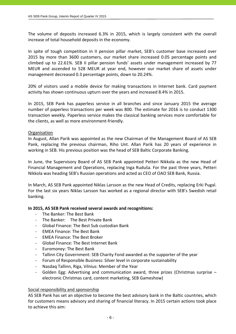The volume of deposits increased 6.3% in 2015, which is largely consistent with the overall increase of total household deposits in the economy.

In spite of tough competition in II pension pillar market, SEB's customer base increased over 2015 by more than 3600 customers, our market share increased 0.05 percentage points and climbed up to 22.61%. SEB II pillar pension funds' assets under management increased by 77 MEUR and ascended to 528 MEUR at year end, however our market share of assets under management decreased 0.3 percentage points, down to 20.24%.

20% of visitors used a mobile device for making transactions in Internet bank. Card payment activity has shown continuous upturn over the years and increased 8.4% in 2015.

In 2015, SEB Pank has paperless service in all branches and since January 2015 the average number of paperless transactions per week was 800. The estimate for 2016 is to conduct 1300 transaction weekly. Paperless service makes the classical banking services more comfortable for the clients, as well as more environment‐friendly.

# **Organisation**

In August, Allan Parik was appointed as the new Chairman of the Management Board of AS SEB Pank, replacing the previous chairman, Riho Unt. Allan Parik has 20 years of experience in working in SEB. His previous position was the head of SEB Baltic Corporate Banking.

In June, the Supervisory Board of AS SEB Pank appointed Petteri Nikkola as the new Head of Financial Management and Operations, replacing Inga Ruduša. For the past three years, Petteri Nikkola was heading SEB's Russian operations and acted as CEO of OAO SEB Bank, Russia.

In March, AS SEB Pank appointed Niklas Larsson as the new Head of Credits, replacing Erki Pugal. For the last six years Niklas Larsson has worked as a regional director with SEB's Swedish retail banking.

# **In 2015, AS SEB Pank received several awards and recognitions:**

- ‐ The Banker: The Best Bank
- ‐ The Banker: The Best Private Bank
- ‐ Global Finance: The Best Sub custodian Bank
- ‐ EMEA Finance: The Best Bank
- ‐ EMEA Finance: The Best Broker
- ‐ Global Finance: The Best Internet Bank
- ‐ Euromoney: The Best Bank
- ‐ Tallinn City Government: SEB Charity Fond awarded as the supporter of the year
- ‐ Forum of Responsible Business: Silver level in corporate sustainability
- Nasdaq Tallinn, Riga, Vilnius: Member of the Year
- Golden Egg: Advertising and communication award, three prizes (Christmas surprise  $$ electronic Christmas card, content marketing, SEB Gameshow)

# Social responsibility and sponsorship

AS SEB Pank has set an objective to become the best advisory bank in the Baltic countries, which for customers means advisory and sharing of financial literacy. In 2015 certain actions took place to achieve this aim: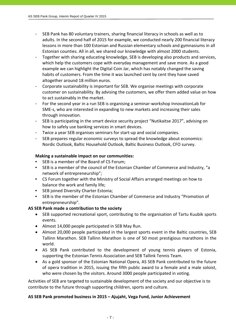- SEB Pank has 80 voluntary trainers, sharing financial literacy in schools as well as to adults. In the second half of 2015 for example, we conducted nearly 200 financial literacy lessons in more than 100 Estonian and Russian elementary schools and gymnasiums in all Estonian counties. All in all, we shared our knowledge with almost 2000 students.
- Together with sharing educating knowledge, SEB is developing also products and services, which help the customers cope with everyday management and save more. As a good example we can highlight the Digital Coin Jar, which has notably changed the saving habits of customers. From the time it was launched cent by cent they have saved altogether around 18 million euros.
- Corporate sustainability is important for SEB. We organise meetings with corporate customer on sustainability. By advising the customers, we offer them added value on how to act sustainably in the market.
- For the second year in a run SEB is organising a seminar‐workshop InnovationLab for SME‐s, who are interested in expanding to new markets and increasing their sales through innovation.
- SEB is participating in the smart device security project "Nutikaitse 2017", advising on how to safely use banking services in smart devices.
- Twice a year SEB organises seminars for start‐up and social companies.
- SEB prepares regular economic surveys to spread the knowledge about economics: Nordic Outlook, Baltic Household Outlook, Baltic Business Outlook, CFO survey.

# **Making a sustainable impact on our communities:**

- SEB is a member of the Board of CS Forum;
- SEB is a member of the council of the Estonian Chamber of Commerce and Industry, "a network of entrepreneurship";
- CS Forum together with the Ministry of Social Affairs arranged meetings on how to balance the work and family life;
- SEB joined Diversity Charter Estonia;
- SEB is the member of the Estonian Chamber of Commerce and Industry "Promotion of entrepreneurship".

# **AS SEB Pank made a contribution to the society**

- SEB supported recreational sport, contributing to the organisation of Tartu Kuubik sports events.
- Almost 14,000 people participated in SEB May Run.
- Almost 20,000 people participated in the largest sports event in the Baltic countries, SEB Tallinn Marathon. SEB Tallinn Marathon is one of 50 most prestigious marathons in the world.
- AS SEB Pank contributed to the development of young tennis players of Estonia, supporting the Estonian Tennis Association and SEB Tallink Tennis Team.
- As a gold sponsor of the Estonian National Opera, AS SEB Pank contributed to the future of opera tradition in 2015, issuing the fifth public award to a female and a male soloist, who were chosen by the visitors. Around 3000 people participated in voting.

Activities of SEB are targeted to sustainable development of the society and our objective is to contribute to the future through supporting children, sports and culture.

# **AS SEB Pank promoted business in 2015 – Ajujaht, Vega Fund, Junior Achievement**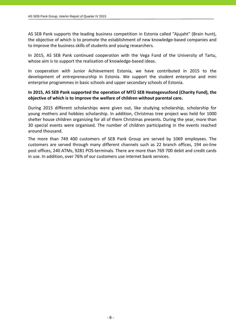AS SEB Pank supports the leading business competition in Estonia called "Ajujaht" (Brain hunt), the objective of which is to promote the establishment of new knowledge‐based companies and to improve the business skills of students and young researchers.

In 2015, AS SEB Pank continued cooperation with the Vega Fund of the University of Tartu, whose aim is to support the realisation of knowledge-based ideas.

In cooperation with Junior Achievement Estonia, we have contributed in 2015 to the development of entrepreneurship in Estonia. We support the student enterprise and mini enterprise programmes in basic schools and upper secondary schools of Estonia.

# **In 2015, AS SEB Pank supported the operation of MTÜ SEB Heategevusfond (Charity Fund), the objective of which is to improve the welfare of children without parental care.**

During 2015 different scholarships were given out, like studying scholarship, scholarship for young mothers and hobbies scholarship. In addition, Christmas tree project was held for 1000 shelter house children organizing for all of them Christmas presents. During the year, more than 30 special events were organised. The number of children participating in the events reached around thousand.

The more than 749 400 customers of SEB Pank Group are served by 1069 employees. The customers are served through many different channels such as 22 branch offices, 194 on‐line post offices, 240 ATMs, 9281 POS‐terminals. There are more than 769 700 debit and credit cards in use. In addition, over 76% of our customers use internet bank services.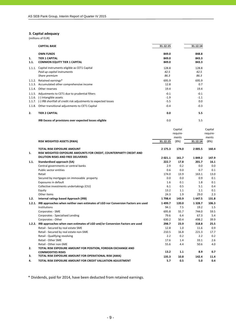# **3. Capital adequacy**

(millions of EUR)

|        | <b>CAPITAL BASE</b>                                             | 31.12.15 | 31.12.14 |
|--------|-----------------------------------------------------------------|----------|----------|
|        | <b>OWN FUNDS</b>                                                | 849.0    | 848.8    |
| 1.     | <b>TIER 1 CAPITAL</b>                                           | 849.0    | 843.3    |
| 1.1.   | <b>COMMON EQUITY TIER 1 CAPITAL</b>                             | 849.0    | 843.3    |
| 1.1.1. | Capital instruments eligible as CET1 Capital                    | 128.8    | 128.8    |
|        | Paid up capital instruments                                     | 42.5     | 42.5     |
|        | Share premium                                                   | 86.3     | 86.3     |
| 1.1.2. | Retained earnings*                                              | 695.9    | 695.9    |
| 1.1.3. | Accumulated other comprehensive income                          | 12.8     | 0.7      |
| 1.1.4. | Other reserves                                                  | 19.4     | 19.4     |
| 1.1.5. | Adjustments to CET1 due to prudential filters                   | $-0.1$   | $-0.1$   |
| 1.1.6. | (-) Intangible assets                                           | $-1.9$   | $-1.1$   |
| 1.1.7. | (-) IRB shortfall of credit risk adjustments to expected losses | $-5.5$   | 0.0      |
| 1.1.8. | Other transitional adjustments to CET1 Capital                  | $-0.4$   | $-0.3$   |
| 2.     | <b>TIER 2 CAPITAL</b>                                           | 0.0      | 5.5      |
|        | IRB Excess of provisions over expected losses eligible          | 0.0      | 5.5      |

|        |                                                                                    |             | Capital<br>require-<br>ments |             | Capital<br>require-<br>ments |
|--------|------------------------------------------------------------------------------------|-------------|------------------------------|-------------|------------------------------|
|        | RISK WEIGHTED ASSETS (RWA)                                                         | 31.12.15    | (8%)                         | 31.12.14    | (8%)                         |
|        | <b>TOTAL RISK EXPOSURE AMOUNT</b>                                                  | 2 175.3     | 174.0                        | 2 005.5     | 160.4                        |
| 1.     | RISK WEIGHTED EXPOSURE AMOUNTS FOR CREDIT, COUNTERPARTY CREDIT AND                 |             |                              |             |                              |
|        | DILUTION RISKS AND FREE DELIVERIES                                                 | 2 0 2 1 . 1 | 161.7                        | 1849.2      | 147.9                        |
| 1.1.   | Standardised approach (SA)                                                         | 222.7       | 17.8                         | 201.7       | 16.1                         |
|        | Central governments or central banks                                               | 2.9         | 0.2                          | 0.0         | 0.0                          |
|        | Public sector entities                                                             | 0.6         | 0.0                          | 0.7         | 0.1                          |
|        | Retail                                                                             | 174.0       | 13.9                         | 163.1       | 13.0                         |
|        | Secured by mortgages on immovable property                                         | 0.0         | 0.0                          | 0.9         | 0.1                          |
|        | Exposures in default                                                               | 1.6         | 0.1                          | 1.8         | 0.1                          |
|        | Collective investments undertakings (CIU)                                          | 6.1         | 0.5                          | 5.1         | 0.4                          |
|        | Equity                                                                             | 13.2        | 1.1                          | 1.1         | 0.1                          |
|        | Other items                                                                        | 24.3        | 1.9                          | 29.0        | 2.3                          |
| 1.2.   | Internal ratings based Approach (IRB)                                              | 1798.4      | 143.9                        | 1647.5      | 131.8                        |
| 1.2.1. | IRB approaches when neither own estimates of LGD nor Conversion Factors are used   | 1499.7      | 120.0                        | 1 3 2 8 . 7 | 106.3                        |
|        | Institutions                                                                       | 94.1        | 7.5                          | 19.2        | 1.5                          |
|        | Corporates - SME                                                                   | 695.8       | 55.7                         | 744.0       | 59.5                         |
|        | Corporates - Specialised Lending                                                   | 79.6        | 6.4                          | 67.3        | 5.4                          |
|        | Corporates - Other                                                                 | 630.2       | 50.4                         | 498.2       | 39.9                         |
|        | 1.2.2. IRB approaches when own estimates of LGD and/or Conversion Factors are used | 298.7       | 23.9                         | 318.8       | 25.5                         |
|        | Retail - Secured by real estate SME                                                | 12.8        | 1.0                          | 11.6        | 0.9                          |
|        | Retail - Secured by real estate non-SME                                            | 210.5       | 16.8                         | 221.3       | 17.7                         |
|        | Retail - Qualifying revolving                                                      | 2.2         | 0.2                          | 2.2         | 0.2                          |
|        | Retail - Other SME                                                                 | 17.6        | 1.4                          | 33.1        | 2.6                          |
|        | Retail - Other non-SME                                                             | 55.6        | 4.4                          | 50.6        | 4.0                          |
| 2.     | TOTAL RISK EXPOSURE AMOUNT FOR POSITION, FOREIGN EXCHANGE AND                      |             |                              |             |                              |
|        | <b>COMMODITIES RISKS</b>                                                           | 13.2        | 1.1                          | 8.9         | 0.7                          |
| 3.     | TOTAL RISK EXPOSURE AMOUNT FOR OPERATIONAL RISK (AMA)                              | 135.3       | 10.8                         | 142.4       | 11.4                         |
| 4.     | TOTAL RISK EXPOSURE AMOUNT FOR CREDIT VALUATION ADJUSTMENT                         | 5.7         | 0.5                          | 5.0         | 0.4                          |

\* Dividends, paid for 2014, have been deducted from retained earnings.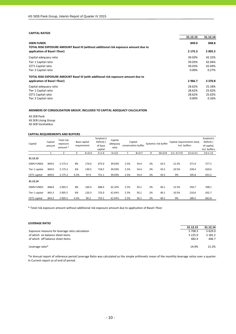## **CAPITAL RATIOS**

|                                                                                      | 31.12.15    | 31.12.14  |
|--------------------------------------------------------------------------------------|-------------|-----------|
| <b>OWN FUNDS</b>                                                                     | 849.0       | 848.8     |
| TOTAL RISK EXPOSURE AMOUNT Basel III (without additional risk exposure amount due to |             |           |
| application of Basel I floor)                                                        | 2 1 7 5 . 3 | 2 005.5   |
| Capital adequacy ratio                                                               | 39.03%      | 42.32%    |
| Tier 1 Capital ratio                                                                 | 39.03%      | 42.04%    |
| <b>CET1 Capital ratio</b>                                                            | 39.03%      | 42.04%    |
| Tier 2 Capital ratio                                                                 | 0.00%       | 0.27%     |
| TOTAL RISK EXPOSURE AMOUNT Basel III (with additional risk exposure amount due to    |             |           |
| application of Basel I floor)                                                        | 2966.7      | 3 3 7 0.8 |
| Capital adequacy ratio                                                               | 28.62%      | 25.18%    |
| Tier 1 Capital ratio                                                                 | 28.62%      | 25.02%    |
| <b>CET1 Capital ratio</b>                                                            | 28.62%      | 25.02%    |
| Tier 2 Capital ratio                                                                 | 0.00%       | 0.16%     |

#### **MEMBERS OF CONSOLIDATION GROUP, INCLUDED TO CAPITAL ADEQUACY CALCULATION**

AS SEB Pank AS SEB Liising Group AS SEB Varahaldus

## **CAPITAL REQUIREMENTS AND BUFFERS**

| Capital          | Capital<br>amount | Total risk<br>exposure<br>amount * |      | Base capital<br>requirement | $Surplus(+)$<br>Deficit(-)<br>of base<br>capital | Capital<br>adequacy<br>ratio |      | Capital<br>conservation buffer |    | Systemic risk buffer | Capital requirements total,<br>incl. buffers |                    | $Surplus(+)$<br>Deficit(-)<br>of capital,<br>incl. buffers |
|------------------|-------------------|------------------------------------|------|-----------------------------|--------------------------------------------------|------------------------------|------|--------------------------------|----|----------------------|----------------------------------------------|--------------------|------------------------------------------------------------|
|                  |                   | 2                                  | 3    | $4 = 2 \times 3$            | $5 = 1 - 4$                                      | $6=1/2$                      |      | $8 = 2 \times 7$               | 9  | $10 = 2 \times 9$    | $11 = 3 + 7 + 9$                             | $12 = 2 \times 11$ | $13 = 1 - 12$                                              |
| 31.12.15         |                   |                                    |      |                             |                                                  |                              |      |                                |    |                      |                                              |                    |                                                            |
| <b>OWN FUNDS</b> | 849.0             | 2 175.3                            | 8%   | 174.0                       | 675.0                                            | 39.03%                       | 2.5% | 54.4                           | 2% | 43.5                 | 12.5%                                        | 271.9              | 577.1                                                      |
| Tier 1 capital   | 849.0             | 2 175.3                            | 6%   | 130.5                       | 718.5                                            | 39.03%                       | 2.5% | 54.4                           | 2% | 43.5                 | 10.5%                                        | 228.4              | 620.6                                                      |
| CET1 capital     | 849.0             | 2 175.3                            | 4.5% | 97.9                        | 751.1                                            | 39.03%                       | 2.5% | 54.4                           | 2% | 43.5                 | 9%                                           | 195.8              | 653.2                                                      |
| 31.12.14         |                   |                                    |      |                             |                                                  |                              |      |                                |    |                      |                                              |                    |                                                            |
| <b>OWN FUNDS</b> | 848.8             | 2 0 0 5.5                          | 8%   | 160.4                       | 688.4                                            | 42.32%                       | 2.5% | 50.1                           | 2% | 40.1                 | 12.5%                                        | 250.7              | 598.1                                                      |
| Tier 1 capital   | 843.3             | 2 0 0 5.5                          | 6%   | 120.3                       | 723.0                                            | 42.04%                       | 2.5% | 50.1                           | 2% | 40.1                 | 10.5%                                        | 210.6              | 632.7                                                      |
| CET1 capital     | 843.3             | 2 0 0 5.5                          | 4.5% | 90.2                        | 753.1                                            | 42.04%                       | 2.5% | 50.1                           | 2% | 40.1                 | 9%                                           | 180.5              | 662.8                                                      |

\* Total risk exposure amount without additional risk exposure amount due to application of Basel I floor

| LEVERAGE RATIO                                  |            |             |
|-------------------------------------------------|------------|-------------|
|                                                 | 31.12.15   | 31.12.14    |
| Exposure measure for leverage ratio calculation | 5 708.3    | 5 6 2 9 . 0 |
| of which on balance sheet items                 | 5 2 2 5 .9 | 5 1 8 2 . 2 |
| of which off balance sheet items                | 482.4      | 446.7       |
| Leverage ratio*                                 | 14.9%      | 15.2%       |

\*In Annual report of reference period Leverage Ratio was calculated as the simple arithmetic mean of the monthly leverage ratios over a quarter. In Current report as of end of period.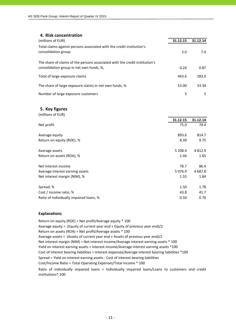| 4. Risk concentration                                                                                                   |          |          |
|-------------------------------------------------------------------------------------------------------------------------|----------|----------|
| (millions of EUR)                                                                                                       | 31.12.15 | 31.12.14 |
| Total claims against persons associated with the credit institution's<br>consolidation group                            | 2.0      | 7.4      |
| The share of claims of the persons associated with the credit institution's<br>consolidation group in net own funds, %, | 0.24     | 0.87     |
| Total of large exposure claims                                                                                          | 443.6    | 283.0    |
| The share of large exposure claims in net own funds, %                                                                  | 53.00    | 33.34    |
| Number of large exposure customers                                                                                      | 5        | 5.       |

## **5. Key figures**

| (millions of EUR)                       |            |             |
|-----------------------------------------|------------|-------------|
|                                         | 31.12.15   | 31.12.14    |
| Net profit                              | 75.0       | 79.4        |
| Average equity                          | 893.6      | 814.7       |
| Return on equity (ROE), %               | 8.39       | 9.75        |
| Average assets                          | 5 208.4    | 4 8 1 2 . 9 |
| Return on assets (ROA), %               | 1.44       | 1.65        |
| Net interest income                     | 78.7       | 86.4        |
| Average interest earning assets         | 5 0 7 6 .9 | 4 687.8     |
| Net interest margin (NIM), %            | 1.55       | 1.84        |
| Spread, %                               | 1.50       | 1.78        |
| Cost / Income ratio, %                  | 43.8       | 41.7        |
| Ratio of individually impaired loans, % | 0.50       | 0.76        |

## **Explanations**

Return on equity (ROE) = Net profit/Average equity \* 100 Average equity = (Equity of current year end + Equity of previous year end)/2 Return on assets (ROA) = Net profit/Average assets \* 100 Average assets = (Assets of current year end + Assets of previous year end)/2 Cost of interest bearing liabilities = Interest expenses/Average interest bearing liabilities \*100 Cost/Income Ratio = Total Operating Expenses/Total Income \* 100 Net interest margin (NIM) = Net interest income/Average interest earning assets \* 100 Yield on interest earning assets = Interest income/Average interest earning assets \*100 Ratio of individually impaired loans = Individually impaired loans/Loans to customers and credit institutions\* 100 Spread = Yield on interest earning assets ‐ Cost of interest bearing liabilities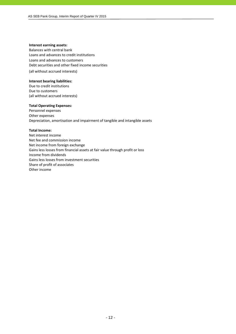## **Interest earning assets:**

Balances with central bank Loans and advances to credit institutions Loans and advances to customers Debt securities and other fixed income securities

(all without accrued interests)

## **Interest bearing liabilities:**

Due to credit institutions Due to customers (all without accrued interests)

#### **Total Operating Expenses:**

Personnel expenses Other expenses Depreciation, amortisation and impairment of tangible and intangible assets

## **Total Income:**

Net interest income Net fee and commission income Net income from foreign exchange Gains less losses from financial assets at fair value through profit or loss Income from dividends Gains less losses from investment securities Share of profit of associates Other income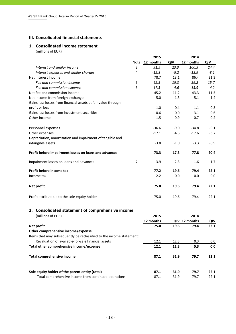# **III. Consolidated financial statements**

## **1. Consolidated income statement** (millions of EUR)

|                                                               |                | 2015      |        | 2014      |        |
|---------------------------------------------------------------|----------------|-----------|--------|-----------|--------|
|                                                               | Note           | 12 months | QIV    | 12 months | QIV    |
| Interest and similar income                                   | 3              | 91.5      | 23.3   | 100.3     | 24.4   |
| Interest expenses and similar charges                         | 4              | $-12.8$   | $-5.2$ | $-13.9$   | $-3.1$ |
| Net Interest Income                                           |                | 78.7      | 18.1   | 86.4      | 21.3   |
| Fee and commission income                                     | 5              | 62.5      | 15.8   | 59.2      | 15.7   |
| Fee and commission expense                                    | 6              | $-17.3$   | $-4.6$ | $-15.9$   | $-4.2$ |
| Net fee and commission income                                 |                | 45.2      | 11.2   | 43.3      | 11.5   |
| Net income from foreign exchange                              |                | 5.0       | 1.3    | 5.1       | 1.4    |
| Gains less losses from financial assets at fair value through |                |           |        |           |        |
| profit or loss                                                |                | 1.0       | 0.4    | 1.1       | 0.3    |
| Gains less losses from investment securities                  |                | $-0.6$    | 0.0    | $-3.1$    | $-0.6$ |
| Other income                                                  |                | 1.5       | 0.9    | 0.7       | 0.2    |
| Personnel expenses                                            |                | $-36.6$   | $-9.0$ | $-34.8$   | $-9.1$ |
| Other expenses                                                |                | $-17.1$   | $-4.6$ | $-17.6$   | $-3.7$ |
| Depreciation, amortisation and impairment of tangible and     |                |           |        |           |        |
| intangible assets                                             |                | $-3.8$    | $-1.0$ | $-3.3$    | $-0.9$ |
| Profit before impairment losses on loans and advances         |                | 73.3      | 17.3   | 77.8      | 20.4   |
| Impairment losses on loans and advances                       | $\overline{7}$ | 3.9       | 2.3    | 1.6       | 1.7    |
| Profit before income tax                                      |                | 77.2      | 19.6   | 79.4      | 22.1   |
| Income tax                                                    |                | $-2.2$    | 0.0    | 0.0       | 0.0    |
| Net profit                                                    |                | 75.0      | 19.6   | 79.4      | 22.1   |
| Profit attributable to the sole equity holder                 |                | 75.0      | 19.6   | 79.4      | 22.1   |

# **2. Consolidated statement of comprehensive income** (millions of EUR) **2015 2014 12 months QIV 12 months QIV Net profit 75.0 19.6 79.4 22.1 Other comprehensive income/expense** Items that may subsequently be reclassified to the income statement: Revaluation of available-for-sale financial assets 12.1 12.3 0.3 0.0 **Total other comprehensive income/expense 12.1 12.3 0.3 0.0 Total comprehensive income 87.1 31.9 79.7 22.1 Sole equity holder of the parent entity (total) 87.1 31.9 79.7 22.1** ‐Total comprehensive income from continued operations 87.1 31.9 79.7 22.1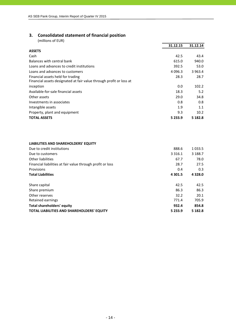# **3. Consolidated statement of financial position**

(millions of EUR)

|                                                                     | 31.12.15    | 31.12.14    |
|---------------------------------------------------------------------|-------------|-------------|
| <b>ASSETS</b>                                                       |             |             |
| Cash                                                                | 42.5        | 43.4        |
| Balances with central bank                                          | 615.0       | 940.0       |
| Loans and advances to credit institutions                           | 392.5       | 53.0        |
| Loans and advances to customers                                     | 4 0 9 6 .3  | 3 9 6 3 . 4 |
| Financial assets held for trading                                   | 28.3        | 28.7        |
| Financial assets designated at fair value through profit or loss at |             |             |
| inception                                                           | 0.0         | 102.2       |
| Available-for-sale financial assets                                 | 18.3        | 5.2         |
| Other assets                                                        | 29.0        | 34.8        |
| Investments in associates                                           | 0.8         | 0.8         |
| Intangible assets                                                   | 1.9         | 1.1         |
| Property, plant and equipment                                       | 9.3         | 10.2        |
| <b>TOTAL ASSETS</b>                                                 | 5 2 3 3 . 9 | 5 1 8 2 . 8 |

## **LIABILITIES AND SHAREHOLDERS' EQUITY**

| Due to credit institutions                                 | 888.6       | 1 0 3 3 .5  |
|------------------------------------------------------------|-------------|-------------|
| Due to customers                                           | 3 3 1 6 . 1 | 3 1 8 8.7   |
| Other liabilities                                          | 67.7        | 78.0        |
| Financial liabilities at fair value through profit or loss | 28.7        | 27.5        |
| Provisions                                                 | 0.4         | 0.3         |
| <b>Total Liabilities</b>                                   | 4 3 0 1 .5  | 4 3 2 8 .0  |
| Share capital                                              | 42.5        | 42.5        |
| Share premium                                              | 86.3        | 86.3        |
| Other reserves                                             | 32.2        | 20.1        |
| Retained earnings                                          | 771.4       | 705.9       |
| Total shareholders' equity                                 | 932.4       | 854.8       |
| <b>TOTAL LIABILITIES AND SHAREHOLDERS' EQUITY</b>          | 5 2 3 3 . 9 | 5 1 8 2 . 8 |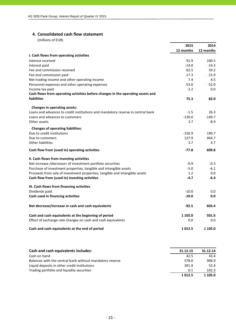# **4. Consolidated cash flow statement**

(millions of EUR)

|                                                                                 | 2015      | 2014      |
|---------------------------------------------------------------------------------|-----------|-----------|
|                                                                                 | 12 months | 12 months |
| I. Cash flows from operating activities                                         |           |           |
| Interest received                                                               | 91.9      | 100.5     |
| Interest paid                                                                   | $-14.0$   | $-14.3$   |
| Fee and commission received                                                     | 62.5      | 59.2      |
| Fee and commission paid                                                         | $-17.3$   | $-15.9$   |
| Net trading income and other operating income                                   | 7.4       | 4.5       |
| Personnel expenses and other operating expenses                                 | $-53.0$   | $-52.0$   |
| Income tax paid                                                                 | $-2.2$    | 0.0       |
| Cash flows from operating activities before changes in the operating assets and |           |           |
| <b>liabilities</b>                                                              | 75.3      | 82.0      |
| <b>Changes in operating assets:</b>                                             |           |           |
| Loans and advances to credit institutions and mandatory reserve in central bank | $-1.5$    | 26.3      |
| Loans and advances to customers                                                 | $-130.0$  | $-149.7$  |
| Other assets                                                                    | 3.7       | -8.9      |
| <b>Changes of operating liabilities:</b>                                        |           |           |
| Due to credit institutions                                                      | $-156.9$  | 190.7     |
| Due to customers                                                                | 127.9     | 464.7     |
| <b>Other liabilities</b>                                                        | 3.7       | 4.7       |
| Cash flow from (used in) operating activities                                   | $-77.8$   | 609.8     |
| II. Cash flows from investing activities                                        |           |           |
| Net increase-/decrease+ of investment portfolio securities                      | $-0.9$    | $-0.3$    |
| Purchase of investment properties, tangible and intangible assets               | $-5.0$    | $-6.1$    |
| Proceeds from sale of investment properties, tangible and intangible assets     | 1.2       | 0.0       |
| Cash flow from (used in) investing activities                                   | $-4.7$    | $-6.4$    |
| III. Cash flows from financing activities                                       |           |           |
| Dividends paid                                                                  | $-10.0$   | 0.0       |
| Cash used in financing activities                                               | $-10.0$   | 0.0       |
| Net decrease/increase in cash and cash equivalents                              | $-92.5$   | 603.4     |
| Cash and cash equivalents at the beginning of period                            | 1 105.0   | 501.6     |
| Effect of exchange rate changes on cash and cash equivalents                    | 0.0       | 0.0       |
| Cash and cash equivalents at the end of period                                  | 1012.5    | 1 105.0   |

| Cash and cash equivalents includes:                      | 31.12.15 | 31.12.14    |
|----------------------------------------------------------|----------|-------------|
| Cash on hand                                             | 42.5     | 43.4        |
| Balances with the central bank without mandatory reserve | 578.0    | 906.9       |
| Liquid deposits in other credit institutions             | 391.9    | 52.4        |
| Trading portfolio and liquidity securities               | 0.1      | 102.3       |
|                                                          | 1012.5   | 1 1 0 5 . 0 |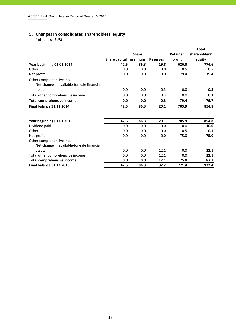# **5. Changes in consolidated shareholders' equity**

(millions of EUR)

|                                                                           |               |              |                 |                 | <b>Total</b>  |
|---------------------------------------------------------------------------|---------------|--------------|-----------------|-----------------|---------------|
|                                                                           |               | <b>Share</b> |                 | <b>Retained</b> | shareholders' |
|                                                                           | Share capital | premium      | <b>Reserves</b> | profit          | equity        |
| Year beginning 01.01.2014                                                 | 42.5          | 86.3         | 19.8            | 626.0           | 774.6         |
| Other                                                                     | 0.0           | 0.0          | 0.0             | 0.5             | 0.5           |
| Net profit                                                                | 0.0           | 0.0          | 0.0             | 79.4            | 79.4          |
| Other comprehensive income:<br>Net change in available-for-sale financial |               |              |                 |                 |               |
| assets                                                                    | 0.0           | 0.0          | 0.3             | 0.0             | 0.3           |
| Total other comprehensive income                                          | 0.0           | 0.0          | 0.3             | 0.0             | 0.3           |
| <b>Total comprehensive income</b>                                         | 0.0           | 0.0          | 0.3             | 79.4            | 79.7          |
| <b>Final balance 31.12.2014</b>                                           | 42.5          | 86.3         | 20.1            | 705.9           | 854.8         |
| Year beginning 01.01.2015                                                 | 42.5          | 86.3         | 20.1            | 705.9           | 854.8         |
| Dividend paid                                                             | 0.0           | 0.0          | 0.0             | $-10.0$         | $-10.0$       |
| Other                                                                     | 0.0           | 0.0          | 0.0             | 0.5             | 0.5           |
| Net profit                                                                | 0.0           | 0.0          | 0.0             | 75.0            | 75.0          |
| Other comprehensive income:<br>Net change in available-for-sale financial |               |              |                 |                 |               |
| assets                                                                    | 0.0           | 0.0          | 12.1            | 0.0             | 12.1          |
| Total other comprehensive income                                          | 0.0           | 0.0          | 12.1            | 0.0             | 12.1          |
| <b>Total comprehensive income</b>                                         | 0.0           | 0.0          | 12.1            | 75.0            | 87.1          |
| <b>Final balance 31.12.2015</b>                                           | 42.5          | 86.3         | 32.2            | 771.4           | 932.4         |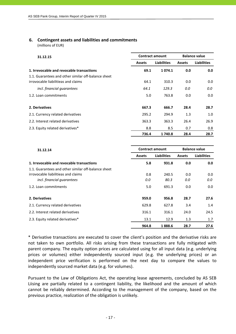# **6. Contingent assets and liabilities and commitments**

(millions of EUR)

| 31.12.15                                            |               | <b>Contract amount</b> | <b>Balance value</b> |                    |
|-----------------------------------------------------|---------------|------------------------|----------------------|--------------------|
|                                                     | <b>Assets</b> | <b>Liabilities</b>     | <b>Assets</b>        | <b>Liabilities</b> |
| 1. Irrevocable and revocable transactions           | 69.1          | 1 0 7 4 . 1            | 0.0                  | 0.0                |
| 1.1. Guarantees and other similar off-balance sheet |               |                        |                      |                    |
| irrovocable liabilitieas and claims                 | 64.1          | 310.3                  | 0.0                  | 0.0                |
| incl. financial guarantees                          | 64.1          | 129.3                  | 0.0                  | 0.0                |
| 1.2. Loan commitments                               | 5.0           | 763.8                  | 0.0                  | 0.0                |
| 2. Derivatives                                      | 667.3         | 666.7                  | 28.4                 | 28.7               |
| 2.1. Currency related derivatives                   | 295.2         | 294.9                  | 1.3                  | 1.0                |
| 2.2. Interest related derivatives                   | 363.3         | 363.3                  | 26.4                 | 26.9               |
| 2.3. Equity related derivatives*                    | 8.8           | 8.5                    | 0.7                  | 0.8                |
|                                                     | 736.4         | 1740.8                 | 28.4                 | 28.7               |

| 31.12.14                                            | <b>Contract amount</b> |                    | <b>Balance value</b> |                    |  |
|-----------------------------------------------------|------------------------|--------------------|----------------------|--------------------|--|
|                                                     | <b>Assets</b>          | <b>Liabilities</b> | <b>Assets</b>        | <b>Liabilities</b> |  |
| 1. Irrevocable and revocable transactions           | 5.8                    | 931.8              | 0.0                  | 0.0                |  |
| 1.1. Guarantees and other similar off-balance sheet |                        |                    |                      |                    |  |
| irrovocable liabilitieas and claims                 | 0.8                    | 240.5              | 0.0                  | 0.0                |  |
| incl. financial quarantees                          | 0.0                    | 80.3               | 0.0                  | 0.0                |  |
| 1.2. Loan commitments                               | 5.0                    | 691.3              | 0.0                  | 0.0                |  |
| 2. Derivatives                                      | 959.0                  | 956.8              | 28.7                 | 27.6               |  |
| 2.1. Currency related derivatives                   | 629.8                  | 627.8              | 3.4                  | 1.4                |  |
| 2.2. Interest related derivatives                   | 316.1                  | 316.1              | 24.0                 | 24.5               |  |
| 2.3. Equity related derivatives*                    | 13.1                   | 12.9               | 1.3                  | 1.7                |  |
|                                                     | 964.8                  | 1888.6             | 28.7                 | 27.6               |  |

\* Derivative transactions are executed to cover the client's position and the derivative risks are not taken to own portfolio. All risks arising from these transactions are fully mitigated with parent company. The equity option prices are calculated using for all input data (e.g. underlying prices or volumes) either independently sourced input (e.g. the underlying prices) or an independent price verification is performed on the next day to compare the values to independently sourced market data (e.g. for volumes).

Pursuant to the Law of Obligations Act, the operating lease agreements, concluded by AS SEB Liising are partially related to a contingent liability, the likelihood and the amount of which cannot be reliably determined. According to the management of the company, based on the previous practice, realization of the obligation is unlikely.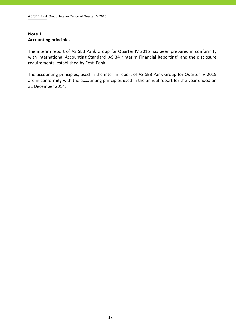# **Note 1 Accounting principles**

The interim report of AS SEB Pank Group for Quarter IV 2015 has been prepared in conformity with International Accounting Standard IAS 34 "Interim Financial Reporting" and the disclosure requirements, established by Eesti Pank.

The accounting principles, used in the interim report of AS SEB Pank Group for Quarter IV 2015 are in conformity with the accounting principles used in the annual report for the year ended on 31 December 2014.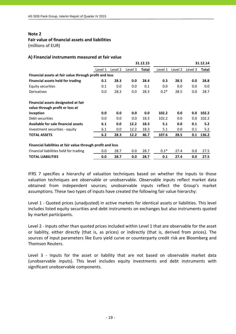# **Note 2**

# **Fair value of financial assets and liabilities**

(millions of EUR)

# **A) Financial instruments measured at fair value**

|                                                             |         |         |         | 31.12.15 |         |         |         | 31.12.14 |
|-------------------------------------------------------------|---------|---------|---------|----------|---------|---------|---------|----------|
|                                                             | Level 1 | Level 2 | Level 3 | Total    | Level 1 | Level 2 | Level 3 | Total    |
| Financial assets at fair value through profit and loss      |         |         |         |          |         |         |         |          |
| Financial assets held for trading                           | 0.1     | 28.3    | 0.0     | 28.4     | 0.3     | 28.5    | 0.0     | 28.8     |
| Equity securities                                           | 0.1     | 0.0     | 0.0     | 0.1      | 0.0     | 0.0     | 0.0     | 0.0      |
| Derivatives                                                 | 0.0     | 28.3    | 0.0     | 28.3     | $0.2*$  | 28.5    | 0.0     | 28.7     |
| Financial assets designated at fair                         |         |         |         |          |         |         |         |          |
| value through profit or loss at                             |         |         |         |          |         |         |         |          |
| inception                                                   | 0.0     | 0.0     | 0.0     | 0.0      | 102.2   | 0.0     | 0.0     | 102.2    |
| Debt securities                                             | 0.0     | 0.0     | 0.0     | 18.3     | 102.2   | 0.0     | 0.0     | 102.2    |
| Available for sale financial assets                         | 6.1     | 0.0     | 12.2    | 18.3     | 5.1     | 0.0     | 0.1     | 5.2      |
| Investment securities - equity                              | 6.1     | 0.0     | 12.2    | 18.3     | 5.1     | 0.0     | 0.1     | 5.2      |
| <b>TOTAL ASSETS</b>                                         | 6.2     | 28.3    | 12.2    | 46.7     | 107.6   | 28.5    | 0.1     | 136.2    |
| Financial liabilities at fair value through profit and loss |         |         |         |          |         |         |         |          |
| Financial liabilities held for trading                      | 0.0     | 28.7    | 0.0     | 28.7     | $0.1*$  | 27.4    | 0.0     | 27.5     |
| <b>TOTAL LIABILITIES</b>                                    | 0.0     | 28.7    | 0.0     | 28.7     | 0.1     | 27.4    | 0.0     | 27.5     |

IFRS 7 specifies a hierarchy of valuation techniques based on whether the inputs to those valuation techniques are observable or unobservable. Observable inputs reflect market data obtained from independent sources; unobservable inputs reflect the Group's market assumptions. These two types of inputs have created the following fair value hierarchy:

Level 1 - Quoted prices (unadjusted) in active markets for identical assets or liabilities. This level includes listed equity securities and debt instruments on exchanges but also instruments quoted by market participants.

Level 2 ‐ Inputs other than quoted prices included within Level 1 that are observable for the asset or liability, either directly (that is, as prices) or indirectly (that is, derived from prices). The sources of input parameters like Euro yield curve or counterparty credit risk are Bloomberg and Thomson Reuters.

Level 3 - Inputs for the asset or liability that are not based on observable market data (unobservable inputs). This level includes equity investments and debt instruments with significant unobservable components.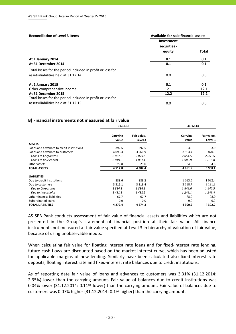| <b>Reconciliation of Level 3 Items</b>                     | Available-for-sale financial assets |       |  |  |
|------------------------------------------------------------|-------------------------------------|-------|--|--|
|                                                            | Investment<br>securities -          |       |  |  |
|                                                            | equity                              | Total |  |  |
| At 1 January 2014                                          | 0.1                                 | 0.1   |  |  |
| At 31 December 2014                                        | 0.1<br>0.1                          |       |  |  |
| Total losses for the period included in profit or loss for |                                     |       |  |  |
| assets/liabilities held at 31.12.14                        | 0.0                                 | 0.0   |  |  |
| At 1 January 2015                                          | 0.1                                 | 0.1   |  |  |
| Other comprehensive income                                 | 12.1                                | 12.1  |  |  |
| At 31 December 2015                                        | 12.2                                | 12.2  |  |  |
| Total losses for the period included in profit or loss for |                                     |       |  |  |
| assets/liabilities held at 31.12.15                        | 0.0                                 | 0.0   |  |  |

# **B) Financial instruments not measured at fair value**

|                                           |                   | 31.12.15               |                   | 31.12.14               |
|-------------------------------------------|-------------------|------------------------|-------------------|------------------------|
|                                           | Carrying<br>value | Fair value,<br>Level 3 | Carrying<br>value | Fair value,<br>Level 3 |
| <b>ASSETS</b>                             |                   |                        |                   |                        |
| Loans and advances to credit institutions | 392.5             | 392.5                  | 53.0              | 53.0                   |
| Loans and advances to customers           | 4 0 9 6.3         | 3 960.9                | 3 9 6 3.4         | 3 870.3                |
| Loans to Corporates                       | 2077.0            | 2079.5                 | 2054.5            | 2053.5                 |
| Loans to households                       | 2019.3            | 1881.4                 | 1908.9            | 1816.8                 |
| Other assets                              | 29.0              | 29.0                   | 34.8              | 34.8                   |
| <b>TOTAL ASSETS</b>                       | 4 5 1 7 . 8       | 4 3 8 2.4              | 4 0 5 1 .2        | 3958.1                 |
| <b>LIABILITIES</b>                        |                   |                        |                   |                        |
| Due to credit institutions                | 888.6             | 888.2                  | 1 0 3 3 .5        | 1 0 3 2.4              |
| Due to customers                          | 3 3 1 6 . 1       | 3 3 1 8 . 4            | 3 1 8 8 .7        | 3 1 9 1 .8             |
| Due to Corporates                         | 1884.8            | 1886.9                 | 1843.6            | 1846.5                 |
| Due to households                         | 1431.3            | 1431.5                 | 1 3 4 5 . 1       | 1 3 4 5 . 4            |
| Other financial liabilities               | 67.7              | 67.7                   | 78.0              | 78.0                   |
| Subordinated loans                        | 0.0               | 0.0                    | 0.0               | 0.0                    |
| <b>TOTAL LIABILITIES</b>                  | 4 2 7 2 . 4       | 4 2 7 4 . 3            | 4 300.2           | 4 302.2                |

AS SEB Pank conducts assessment of fair value of financial assets and liabilities which are not presented in the Group's statement of financial position at their fair value. All finance instruments not measured at fair value specified at Level 3 in hierarchy of valuation of fair value, because of using unobservable inputs.

When calculating fair value for floating interest rate loans and for fixed-interest rate lending, future cash flows are discounted based on the market interest curve, which has been adjusted for applicable margins of new lending. Similarly have been calculated also fixed-interest rate deposits, floating interest rate and fixed-interest rate balances due to credit institutions.

As of reporting date fair value of loans and advances to customers was 3.31% (31.12.2014: 2.35%) lower than the carrying amount. Fair value of balances due to credit institutions was 0.04% lower (31.12.2014: 0.11% lower) than the carrying amount. Fair value of balances due to customers was 0.07% higher (31.12.2014: 0.1% higher) than the carrying amount.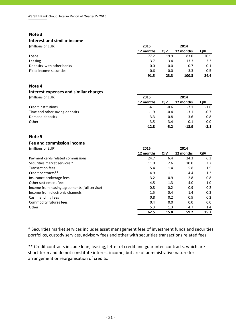# **Note 3**

## **Interest and similar income**

(millions of EUR) **2015 2014**

|                           | ----      |      | ----      |      |
|---------------------------|-----------|------|-----------|------|
|                           | 12 months | QIV  | 12 months | QIV  |
| Loans                     | 77.2      | 19.9 | 83.0      | 20.5 |
| Leasing                   | 13.7      | 3.4  | 13.3      | 3.3  |
| Deposits with other banks | 0.0       | 0.0  | 0.7       | 0.1  |
| Fixed income securities   | 0.6       | 0.0  | 3.3       | 0.5  |
|                           | 91.5      | 23.3 | 100.3     | 24.4 |

# **Note 4**

# **Interest expenses and similar charges**

| (millions of EUR)              | 2015      |        | 2014      |        |
|--------------------------------|-----------|--------|-----------|--------|
|                                | 12 months | OIV    | 12 months | QIV    |
| Credit institutions            | $-4.1$    | $-0.6$ | $-7.1$    | $-1.6$ |
| Time and other saving deposits | $-1.9$    | $-0.4$ | $-3.1$    | $-0.7$ |
| Demand deposits                | $-3.3$    | $-0.8$ | $-3.6$    | $-0.8$ |
| Other                          | $-3.5$    | $-3.4$ | $-0.1$    | 0.0    |
|                                | $-12.8$   | $-5.2$ | $-13.9$   | $-3.1$ |

# **Note 5**

# **Fee and commission income**

(millions of EUR) **2015 2014**

|                                               | 12 months | QIV  | 12 months | QIV     |
|-----------------------------------------------|-----------|------|-----------|---------|
| Payment cards related commissions             | 24.7      | 6.4  | 24.3      | 6.3     |
| Securities market services *                  | 11.0      | 2.6  | 10.0      | 2.7     |
| <b>Transaction fees</b>                       | 5.4       | 1.4  | 5.8       | $1.5\,$ |
| Credit contracts**                            | 4.9       | 1.1  | 4.4       | 1.3     |
| Insurance brokerage fees                      | 3.2       | 0.9  | 2.8       | 0.8     |
| Other settlement fees                         | 4.5       | 1.3  | 4.0       | 1.0     |
| Income from leasing agreements (full service) | 0.8       | 0.2  | 0.9       | 0.2     |
| Income from electronic channels               | 1.5       | 0.4  | 1.4       | 0.3     |
| Cash handling fees                            | 0.8       | 0.2  | 0.9       | 0.2     |
| Commodity futures fees                        | 0.4       | 0.0  | 0.0       | 0.0     |
| Other                                         | 5.3       | 1.3  | 4.7       | 1.4     |
|                                               | 62.5      | 15.8 | 59.2      | 15.7    |

\* Securities market services includes asset management fees of investment funds and securities portfolios, custody services, advisory fees and other with securities transactions related fees.

\*\* Credit contracts include loan, leasing, letter of credit and guarantee contracts, which are short-term and do not constitute interest income, but are of administrative nature for arrangement or reorganisation of credits.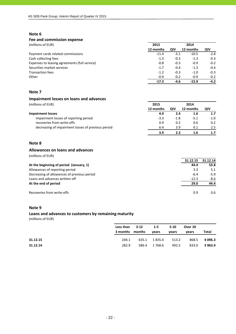# **Note 6**

## **Fee and commission expense**

(millions of EUR) **2015 2014**

| , <i>.</i>                                    |           |        |           |        |
|-----------------------------------------------|-----------|--------|-----------|--------|
|                                               | 12 months | QIV    | 12 months | QIV    |
| Payment cards related commissions             | $-11.4$   | $-3.1$ | $-10.5$   | $-2.8$ |
| Cash collecting fees                          | $-1.3$    | $-0.3$ | $-1.3$    | $-0.3$ |
| Expenses to leasing agreements (full service) | $-0.8$    | $-0.3$ | $-0.9$    | $-0.2$ |
| Securities market services                    | $-1.7$    | $-0.4$ | $-1.3$    | $-0.4$ |
| <b>Transaction fees</b>                       | $-1.2$    | $-0.3$ | $-1.0$    | $-0.3$ |
| Other                                         | $-0.9$    | $-0.2$ | $-0.9$    | $-0.2$ |
|                                               | $-17.3$   | -4.6   | $-15.9$   | $-4.2$ |

# **Note 7**

# **Impairment losses on loans and advances**

| (millions of EUR)                                  | 2015      |        | 2014      |        |
|----------------------------------------------------|-----------|--------|-----------|--------|
|                                                    | 12 months | QIV    | 12 months | οιν    |
| Impairment losses                                  | 4.0       | 2.4    | $1.6\,$   | 1.7    |
| impairment losses of reporting period              | $-3.3$    | $-1.8$ | $-5.1$    | $-1.0$ |
| recoveries from write-offs                         | 0.9       | 0.2    | 0.6       | 0.2    |
| decreasing of impairment losses of previous period | 6.4       | 3.9    | 6.1       | 2.5    |
|                                                    | 3.9       | 2.3    |           |        |

# **Note 8**

# **Allowances on loans and advances**

(millions of EUR)

|                                             | 31.12.15 | 31.12.14      |
|---------------------------------------------|----------|---------------|
| At the beginning of period (January, 1)     | 44.4     | 53.8          |
| Allowances of reporting period              | 3.3      | 5.1           |
| Decreasing of allowances of previous period | $-6.4$   | $-5.9$        |
| Loans and advances written off              | $-12.3$  | $-8.6$        |
| At the end of period                        | 29.0     | 44.4          |
| Recoveries from write-offs                  | 0.9      | $0.6^{\circ}$ |

## **Note 9**

# **Loans and advances to customers by remaining maturity**

(millions of EUR)

|          | Less than 3-12<br>3 months months | $1-5$<br>vears | $5 - 10$<br>vears | Over 10<br>vears | Total      |
|----------|-----------------------------------|----------------|-------------------|------------------|------------|
| 31.12.15 | 244.1                             | 635.1 1835.4   | 513.2             | 868.5            | 4 0 9 6 .3 |
| 31.12.14 | 282.9                             | 586.4 1768.6   | 492.5             | 833.0            | 3 963.4    |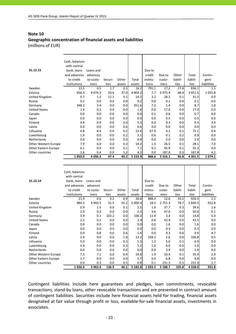# **Note 10 Geographic concentration of financial assets and liabilities** (millions of EUR)

| 31.12.15             | Cash, balances<br>with central<br>bank, loans<br>and advances<br>to credit<br>institutions | Loans and<br>advances<br>to custo-<br>mers | Securi-<br>ties | Other<br>assets | Total<br>assets | Due to<br>credit<br>institu-<br>tions | Due to<br>custo-<br>mers | Other<br>liabili-<br>ties | Total<br>liabili-<br>ties | Contin-<br>gent<br>liabilities |
|----------------------|--------------------------------------------------------------------------------------------|--------------------------------------------|-----------------|-----------------|-----------------|---------------------------------------|--------------------------|---------------------------|---------------------------|--------------------------------|
| Sweden               | 13.5                                                                                       | 0.5                                        | 1.7             | 0.5             | 16.2            | 791.1                                 | 17.2                     | 27.8                      | 836.1                     | 1.5                            |
| Estonia              | 658.3                                                                                      | 4 0 7 4 .3                                 | 33.6            | 37.0            | 4 803.2         | 7.7                                   | 2975.4                   | 68.4                      | 3 0 5 1.5                 | 1055.8                         |
| United Kingdom       | 0.7                                                                                        | 1.3                                        | 12.1            | 0.1             | 14.2            | 3.2                                   | 28.2                     | 0.1                       | 31.5                      | 0.0                            |
| Russia               | 0.2                                                                                        | 0.0                                        | 0.0             | 0.0             | 0.2             | 0.0                                   | 0.1                      | 0.0                       | 0.1                       | 0.0                            |
| Germany              | 348.2                                                                                      | 3.4                                        | 0.0             | 0.0             | 351.6           | 7.3                                   | 1.4                      | 0.0                       | 8.7                       | 1.8                            |
| <b>United States</b> | 1.4                                                                                        | 0.2                                        | 0.0             | 0.0             | 1.6             | 0.0                                   | 17.0                     | 0.0                       | 17.0                      | 0.0                            |
| Canada               | 0.0                                                                                        | 0.0                                        | 0.0             | 0.0             | 0.0             | 0.1                                   | 0.6                      | 0.0                       | 0.7                       | 0.0                            |
| Japan                | 0.0                                                                                        | 0.0                                        | 0.0             | 0.0             | 0.0             | 0.0                                   | 0.5                      | 0.0                       | 0.5                       | 0.0                            |
| Finland              | 4.4                                                                                        | 0.9                                        | 0.0             | 0.0             | 5.3             | 0.0                                   | 9.3                      | 0.0                       | 9.3                       | 3.4                            |
| Latvia               | 0.0                                                                                        | 0.0                                        | 0.0             | 0.6             | 0.6             | 0.0                                   | 0.0                      | 0.0                       | 0.0                       | 0.0                            |
| Lithuania            | 4.8                                                                                        | 8.4                                        | 0.0             | 0.2             | 13.4            | 67.9                                  | 4.1                      | 0.1                       | 72.1                      | 0.4                            |
| Luxembourg           | 1.9                                                                                        | 0.0                                        | 0.0             | 0.2             | 2.1             | 0.6                                   | 0.1                      | 0.2                       | 0.9                       | 0.0                            |
| Netherlands          | 0.0                                                                                        | 0.0                                        | 0.0             | 0.0             | 0.0             | 0.0                                   | 2.0                      | 0.0                       | 2.0                       | 0.0                            |
| Other Western Europe | 7.9                                                                                        | 6.0                                        | 0.0             | 0.3             | 14.2            | 1.5                                   | 26.5                     | 0.1                       | 28.1                      | 7.0                            |
| Other Eastern Europe | 6.1                                                                                        | 0.9                                        | 0.0             | 0.1             | 7.1             | 9.2                                   | 45.9                     | 0.1                       | 55.2                      | 0.0                            |
| Other countries      | 2.6                                                                                        | 0.4                                        | 0.0             | 1.2             | 4.2             | 0.0                                   | 187.8                    | 0.0                       | 187.8                     | 4.2                            |
|                      | 1050.0                                                                                     | 4 0 9 6 .3                                 | 47.4            | 40.2            | 5 2 3 3 . 9     | 888.6                                 | 3 3 1 6 . 1              | 96.8                      | 4 301.5                   | 1074.1                         |

|                      | Cash, balances |            |         |        |         |          |             |          |          |             |
|----------------------|----------------|------------|---------|--------|---------|----------|-------------|----------|----------|-------------|
|                      | with central   |            |         |        |         |          |             |          |          |             |
| 31.12.14             | bank, loans    | Loans and  |         |        |         | Due to   |             |          |          |             |
|                      | and advances   | advances   |         |        |         | credit   | Due to      | Other    | Total    | Contin-     |
|                      | to credit      | to custo-  | Securi- | Other  | Total   | institu- | custo-      | liabili- | liabili- | gent        |
|                      | institutions   | mers       | ties    | assets | assets  | tions    | mers        | ties     | ties     | liabilities |
| Sweden               | 21.9           | 0.6        | 3.2     | 0.9    | 26.6    | 888.4    | 12.6        | 25.5     | 926.5    | 1.5         |
| Estonia              | 984.2          | 3 9 4 3 .5 | 31.5    | 41.2   | 5 000.4 | 19.5     | 2 7 5 1 . 3 | 78.7     | 2 849.5  | 912.8       |
| United Kingdom       | 0.9            | 1.5        | 0.0     | 0.1    | 2.5     | 1.6      | 37.7        | 0.3      | 39.6     | 1.6         |
| Russia               | 2.0            | 0.3        | 0.0     | 0.0    | 2.3     | 3.6      | 47.0        | 0.0      | 50.6     | 0.1         |
| Germany              | 3.9            | 0.1        | 102.2   | 0.0    | 106.2   | 11.4     | 3.4         | 0.0      | 14.8     | 5.0         |
| <b>United States</b> | 2.2            | 0.2        | 0.0     | 0.0    | 2.4     | 0.6      | 42.9        | 0.0      | 43.5     | 0.0         |
| Canada               | 0.0            | 0.0        | 0.0     | 0.0    | 0.0     | 0.0      | 1.6         | 0.0      | 1.6      | 0.0         |
| Japan                | 0.0            | 0.0        | 0.0     | 0.0    | 0.0     | 0.0      | 0.3         | 0.0      | 0.3      | 0.0         |
| Finland              | 0.0            | 0.8        | 0.0     | 0.6    | 1.4     | 0.0      | 9.3         | 0.6      | 9.9      | 4.7         |
| Latvia               | 2.4            | 9.0        | 0.0     | 1.8    | 13.2    | 104.2    | 2.6         | 0.0      | 106.8    | 0.5         |
| Lithuania            | 5.0            | 0.0        | 0.0     | 0.3    | 5.3     | 1.2      | 5.6         | 0.1      | 6.9      | 0.0         |
| Luxembourg           | 4.9            | 0.0        | 0.0     | 0.3    | 5.2     | 1.0      | 0.0         | 0.0      | 1.0      | 0.0         |
| <b>Netherlands</b>   | 0.0            | 0.0        | 0.0     | 0.0    | 0.0     | 0.0      | 2.9         | 0.0      | 2.9      | 0.0         |
| Other Western Europe | 7.3            | 7.1        | 0.0     | 0.4    | 14.8    | 1.9      | 33.4        | 0.1      | 35.4     | 2.9         |
| Other Eastern Europe | 1.7            | 0.0        | 0.0     | 0.0    | 1.7     | 0.0      | 6.8         | 0.0      | 6.8      | 0.0         |
| Other countries      | 0.0            | 0.3        | 0.0     | 0.5    | 0.8     | 0.1      | 231.3       | 0.5      | 231.9    | 2.7         |
|                      | 1036.4         | 3963.4     | 136.9   | 46.1   | 5 182.8 | 1033.5   | 3 188.7     | 105.8    | 4328.0   | 931.8       |

Contingent liabilities include here guarantees and pledges, loan commitments, revocable transactions, stand‐by loans, other revocable transactions and are presented in contract amount of contingent liabilities. Securities include here financial assets held for trading, financial assets designated at fair value through profit or loss, available‐for‐sale financial assets, investments in associates.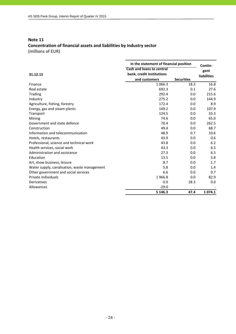# **Note 11 Concentration of financial assets and liabilities by industry sector** (millions of EUR)

|                                              | In the statement of financial position | Contin-           |                    |
|----------------------------------------------|----------------------------------------|-------------------|--------------------|
|                                              | <b>Cash and loans to central</b>       |                   | gent               |
| 31.12.15                                     | bank, credit institutions              |                   | <b>liabilities</b> |
|                                              | and customers                          | <b>Securities</b> |                    |
| Finance                                      | 1 0 6 6 .3                             | 18.3              | 16.8               |
| Real estate                                  | 692.3                                  | 0.1               | 27.6               |
| Trading                                      | 292.4                                  | 0.0               | 215.6              |
| Industry                                     | 275.2                                  | 0.0               | 144.9              |
| Agriculture, fishing, forestry               | 172.4                                  | 0.0               | 8.9                |
| Energy, gas and steam plants                 | 149.2                                  | 0.0               | 107.9              |
| Transport                                    | 124.5                                  | 0.0               | 33.3               |
| Mining                                       | 74.6                                   | 0.0               | 65.0               |
| Government and state defence                 | 70.4                                   | 0.0               | 262.5              |
| Construction                                 | 49.4                                   | 0.0               | 68.7               |
| Information and telecommunication            | 48.9                                   | 0.7               | 10.6               |
| Hotels, restaurants                          | 43.9                                   | 0.0               | 0.6                |
| Professional, science and technical work     | 43.8                                   | 0.0               | 6.2                |
| Health services, social work                 | 43.3                                   | 0.0               | 6.5                |
| Administration and assistance                | 27.3                                   | 0.0               | 6.5                |
| Education                                    | 13.5                                   | 0.0               | 5.8                |
| Art, show business, leisure                  | 8.7                                    | 0.0               | 1.7                |
| Water supply, canalisation, waste management | 5.8                                    | 0.0               | 1.4                |
| Other government and social services         | 6.6                                    | 0.0               | 0.7                |
| Private individuals                          | 1966.8                                 | 0.0               | 82.9               |
| Derivatives                                  | 0.0                                    | 28.3              | 0.0                |
| Allowances                                   | $-29.0$                                |                   |                    |
|                                              | 5 1 4 6 .3                             | 47.4              | 1 0 7 4 . 1        |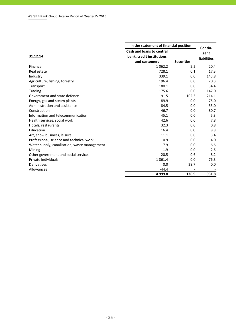|                                              | In the statement of financial position | Contin-           |                    |  |
|----------------------------------------------|----------------------------------------|-------------------|--------------------|--|
|                                              | Cash and loans to central              |                   | gent               |  |
| 31.12.14                                     | bank, credit institutions              |                   | <b>liabilities</b> |  |
|                                              | and customers                          | <b>Securities</b> |                    |  |
| Finance                                      | 1 0 6 2 . 2                            | 5.2               | 20.4               |  |
| Real estate                                  | 728.1                                  | 0.1               | 17.3               |  |
| Industry                                     | 339.1                                  | 0.0               | 143.8              |  |
| Agriculture, fishing, forestry               | 196.4                                  | 0.0               | 20.3               |  |
| Transport                                    | 180.1                                  | 0.0               | 34.4               |  |
| Trading                                      | 175.6                                  | 0.0               | 147.0              |  |
| Government and state defence                 | 91.5                                   | 102.3             | 214.1              |  |
| Energy, gas and steam plants                 | 89.9                                   | 0.0               | 75.0               |  |
| Administration and assistance                | 84.5                                   | 0.0               | 55.0               |  |
| Construction                                 | 46.7                                   | 0.0               | 80.7               |  |
| Information and telecommunication            | 45.1                                   | 0.0               | 5.3                |  |
| Health services, social work                 | 42.6                                   | 0.0               | 7.8                |  |
| Hotels, restaurants                          | 32.3                                   | 0.0               | 0.8                |  |
| Education                                    | 16.4                                   | 0.0               | 8.8                |  |
| Art, show business, leisure                  | 11.1                                   | 0.0               | 3.4                |  |
| Professional, science and technical work     | 10.9                                   | 0.0               | 4.0                |  |
| Water supply, canalisation, waste management | 7.9                                    | 0.0               | 6.6                |  |
| Mining                                       | 1.9                                    | 0.0               | 2.6                |  |
| Other government and social services         | 20.5                                   | 0.6               | 8.2                |  |
| Private individuals                          | 1861.4                                 | 0.0               | 76.3               |  |
| Derivatives                                  | 0.0                                    | 28.7              | 0.0                |  |
| Allowances                                   | $-44.4$                                |                   |                    |  |
|                                              | 4999.8                                 | 136.9             | 931.8              |  |